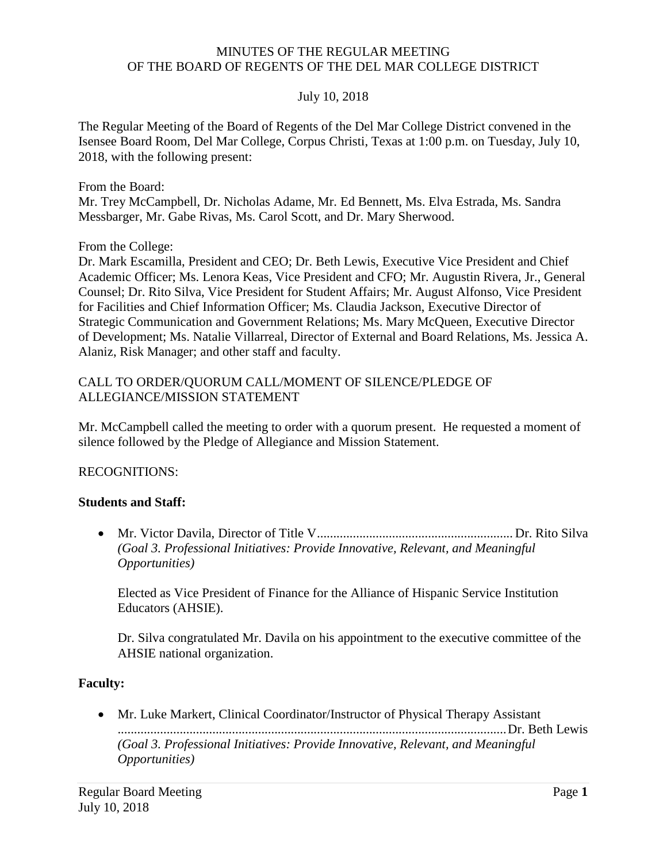#### MINUTES OF THE REGULAR MEETING OF THE BOARD OF REGENTS OF THE DEL MAR COLLEGE DISTRICT

#### July 10, 2018

The Regular Meeting of the Board of Regents of the Del Mar College District convened in the Isensee Board Room, Del Mar College, Corpus Christi, Texas at 1:00 p.m. on Tuesday, July 10, 2018, with the following present:

From the Board:

Mr. Trey McCampbell, Dr. Nicholas Adame, Mr. Ed Bennett, Ms. Elva Estrada, Ms. Sandra Messbarger, Mr. Gabe Rivas, Ms. Carol Scott, and Dr. Mary Sherwood.

From the College:

Dr. Mark Escamilla, President and CEO; Dr. Beth Lewis, Executive Vice President and Chief Academic Officer; Ms. Lenora Keas, Vice President and CFO; Mr. Augustin Rivera, Jr., General Counsel; Dr. Rito Silva, Vice President for Student Affairs; Mr. August Alfonso, Vice President for Facilities and Chief Information Officer; Ms. Claudia Jackson, Executive Director of Strategic Communication and Government Relations; Ms. Mary McQueen, Executive Director of Development; Ms. Natalie Villarreal, Director of External and Board Relations, Ms. Jessica A. Alaniz, Risk Manager; and other staff and faculty.

# CALL TO ORDER/QUORUM CALL/MOMENT OF SILENCE/PLEDGE OF ALLEGIANCE/MISSION STATEMENT

Mr. McCampbell called the meeting to order with a quorum present. He requested a moment of silence followed by the Pledge of Allegiance and Mission Statement.

#### RECOGNITIONS:

#### **Students and Staff:**

• Mr. Victor Davila, Director of Title V............................................................ Dr. Rito Silva *(Goal 3. Professional Initiatives: Provide Innovative, Relevant, and Meaningful Opportunities)* 

Elected as Vice President of Finance for the Alliance of Hispanic Service Institution Educators (AHSIE).

Dr. Silva congratulated Mr. Davila on his appointment to the executive committee of the AHSIE national organization.

#### **Faculty:**

 • Mr. Luke Markert, Clinical Coordinator/Instructor of Physical Therapy Assistant .......................................................................................................................Dr. Beth Lewis *(Goal 3. Professional Initiatives: Provide Innovative, Relevant, and Meaningful Opportunities)*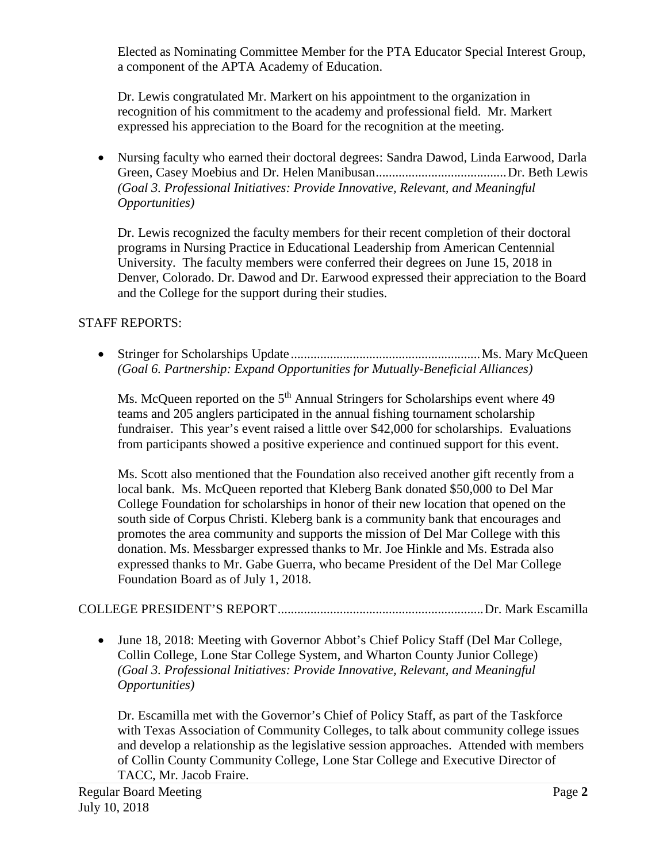Elected as Nominating Committee Member for the PTA Educator Special Interest Group, a component of the APTA Academy of Education.

Dr. Lewis congratulated Mr. Markert on his appointment to the organization in recognition of his commitment to the academy and professional field. Mr. Markert expressed his appreciation to the Board for the recognition at the meeting.

• Nursing faculty who earned their doctoral degrees: Sandra Dawod, Linda Earwood, Darla Green, Casey Moebius and Dr. Helen [Manibusan........................................Dr.](https://Manibusan........................................Dr) Beth Lewis *(Goal 3. Professional Initiatives: Provide Innovative, Relevant, and Meaningful Opportunities)* 

Dr. Lewis recognized the faculty members for their recent completion of their doctoral programs in Nursing Practice in Educational Leadership from American Centennial University. The faculty members were conferred their degrees on June 15, 2018 in Denver, Colorado. Dr. Dawod and Dr. Earwood expressed their appreciation to the Board and the College for the support during their studies.

## STAFF REPORTS:

• Stringer for Scholarships [Update..........................................................Ms.](https://Update..........................................................Ms) Mary McQueen *(Goal 6. Partnership: Expand Opportunities for Mutually-Beneficial Alliances)* 

Ms. McQueen reported on the  $5<sup>th</sup>$  Annual Stringers for Scholarships event where 49 teams and 205 anglers participated in the annual fishing tournament scholarship fundraiser. This year's event raised a little over \$42,000 for scholarships. Evaluations from participants showed a positive experience and continued support for this event.

Ms. Scott also mentioned that the Foundation also received another gift recently from a local bank. Ms. McQueen reported that Kleberg Bank donated \$50,000 to Del Mar College Foundation for scholarships in honor of their new location that opened on the south side of Corpus Christi. Kleberg bank is a community bank that encourages and promotes the area community and supports the mission of Del Mar College with this donation. Ms. Messbarger expressed thanks to Mr. Joe Hinkle and Ms. Estrada also expressed thanks to Mr. Gabe Guerra, who became President of the Del Mar College Foundation Board as of July 1, 2018.

# COLLEGE PRESIDENT'S [REPORT...............................................................Dr.](https://REPORT...............................................................Dr) Mark Escamilla

 • June 18, 2018: Meeting with Governor Abbot's Chief Policy Staff (Del Mar College, Collin College, Lone Star College System, and Wharton County Junior College) *(Goal 3. Professional Initiatives: Provide Innovative, Relevant, and Meaningful Opportunities)* 

 of Collin County Community College, Lone Star College and Executive Director of Dr. Escamilla met with the Governor's Chief of Policy Staff, as part of the Taskforce with Texas Association of Community Colleges, to talk about community college issues and develop a relationship as the legislative session approaches. Attended with members TACC, Mr. Jacob Fraire.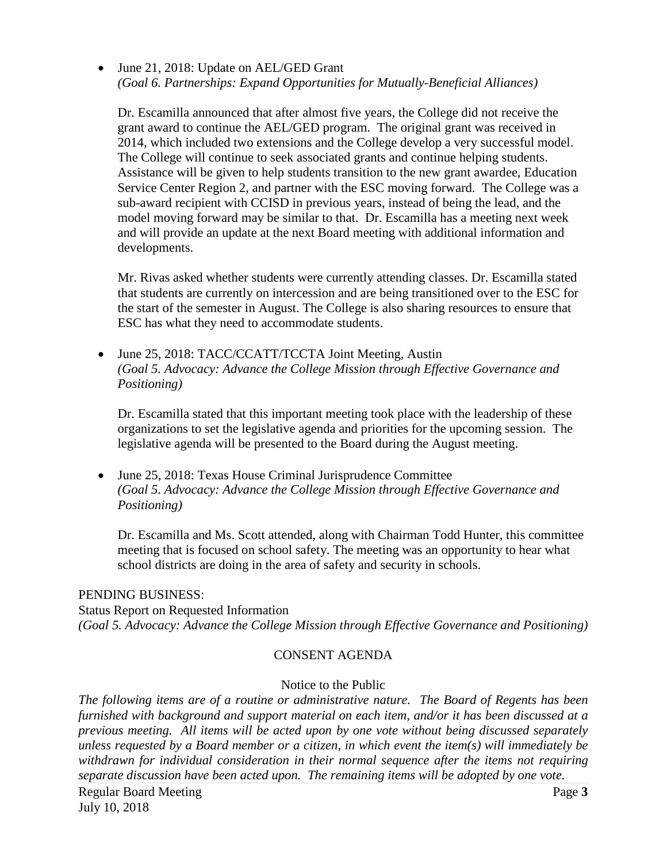• June 21, 2018: Update on AEL/GED Grant *(Goal 6. Partnerships: Expand Opportunities for Mutually-Beneficial Alliances)* 

 Service Center Region 2, and partner with the ESC moving forward. The College was a Dr. Escamilla announced that after almost five years, the College did not receive the grant award to continue the AEL/GED program. The original grant was received in 2014, which included two extensions and the College develop a very successful model. The College will continue to seek associated grants and continue helping students. Assistance will be given to help students transition to the new grant awardee, Education sub-award recipient with CCISD in previous years, instead of being the lead, and the model moving forward may be similar to that. Dr. Escamilla has a meeting next week and will provide an update at the next Board meeting with additional information and developments.

 Mr. Rivas asked whether students were currently attending classes. Dr. Escamilla stated that students are currently on intercession and are being transitioned over to the ESC for the start of the semester in August. The College is also sharing resources to ensure that ESC has what they need to accommodate students.

• June 25, 2018: TACC/CCATT/TCCTA Joint Meeting, Austin *(Goal 5. Advocacy: Advance the College Mission through Effective Governance and Positioning)* 

Dr. Escamilla stated that this important meeting took place with the leadership of these organizations to set the legislative agenda and priorities for the upcoming session. The legislative agenda will be presented to the Board during the August meeting.

 • June 25, 2018: Texas House Criminal Jurisprudence Committee *(Goal 5. Advocacy: Advance the College Mission through Effective Governance and Positioning)* 

Dr. Escamilla and Ms. Scott attended, along with Chairman Todd Hunter, this committee meeting that is focused on school safety. The meeting was an opportunity to hear what school districts are doing in the area of safety and security in schools.

#### PENDING BUSINESS:

Status Report on Requested Information *(Goal 5. Advocacy: Advance the College Mission through Effective Governance and Positioning)* 

#### CONSENT AGENDA

#### Notice to the Public

 *previous meeting. All items will be acted upon by one vote without being discussed separately The following items are of a routine or administrative nature. The Board of Regents has been furnished with background and support material on each item, and/or it has been discussed at a unless requested by a Board member or a citizen, in which event the item(s) will immediately be withdrawn for individual consideration in their normal sequence after the items not requiring separate discussion have been acted upon. The remaining items will be adopted by one vote.*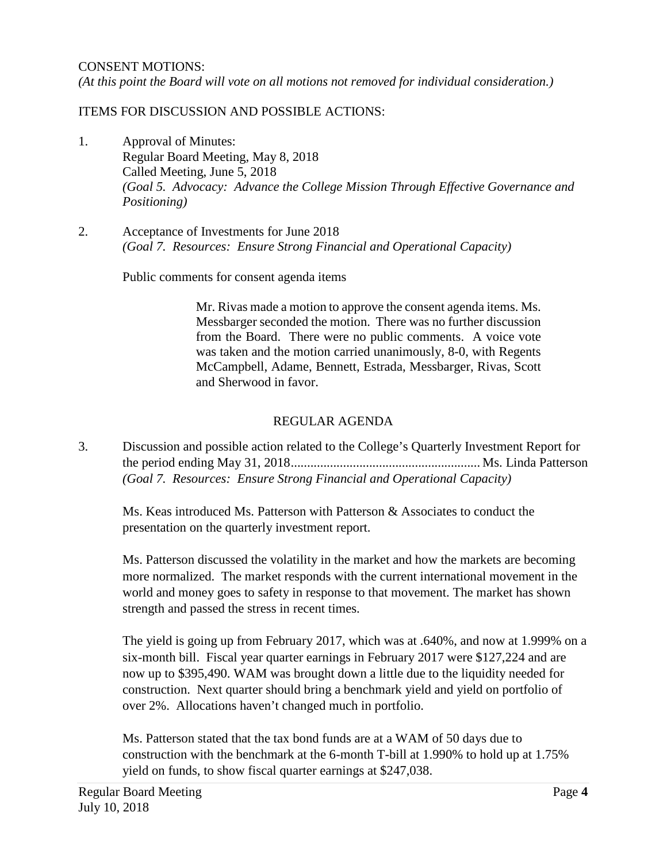*(At this point the Board will vote on all motions not removed for individual consideration.)* 

#### ITEMS FOR DISCUSSION AND POSSIBLE ACTIONS:

- 1. Approval of Minutes: Regular Board Meeting, May 8, 2018 Called Meeting, June 5, 2018 *(Goal 5. Advocacy: Advance the College Mission Through Effective Governance and Positioning)*
- 2. Acceptance of Investments for June 2018 *(Goal 7. Resources: Ensure Strong Financial and Operational Capacity)*

Public comments for consent agenda items

 and Sherwood in favor. Mr. Rivas made a motion to approve the consent agenda items. Ms. Messbarger seconded the motion. There was no further discussion from the Board. There were no public comments. A voice vote was taken and the motion carried unanimously, 8-0, with Regents McCampbell, Adame, Bennett, Estrada, Messbarger, Rivas, Scott

#### REGULAR AGENDA

3. Discussion and possible action related to the College's Quarterly Investment Report for the period ending May 31, 2018.......................................................... Ms. Linda Patterson *(Goal 7. Resources: Ensure Strong Financial and Operational Capacity)* 

Ms. Keas introduced Ms. Patterson with Patterson & Associates to conduct the presentation on the quarterly investment report.

 world and money goes to safety in response to that movement. The market has shown Ms. Patterson discussed the volatility in the market and how the markets are becoming more normalized. The market responds with the current international movement in the strength and passed the stress in recent times.

 The yield is going up from February 2017, which was at .640%, and now at 1.999% on a six-month bill. Fiscal year quarter earnings in February 2017 were \$127,224 and are now up to \$395,490. WAM was brought down a little due to the liquidity needed for construction. Next quarter should bring a benchmark yield and yield on portfolio of over 2%. Allocations haven't changed much in portfolio.

Ms. Patterson stated that the tax bond funds are at a WAM of 50 days due to construction with the benchmark at the 6-month T-bill at 1.990% to hold up at 1.75% yield on funds, to show fiscal quarter earnings at \$247,038.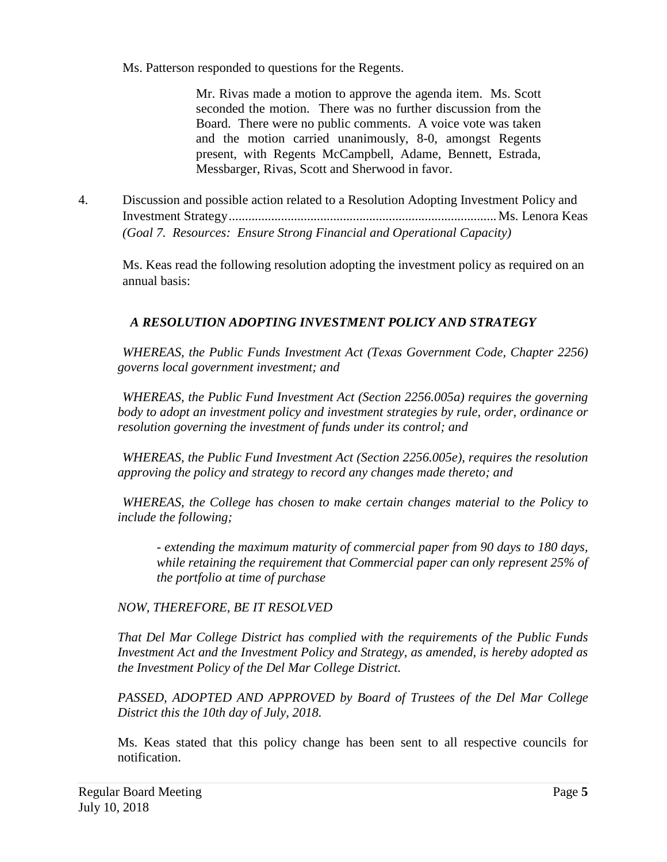Ms. Patterson responded to questions for the Regents.

Messbarger, Rivas, Scott and Sherwood in favor. Mr. Rivas made a motion to approve the agenda item. Ms. Scott seconded the motion. There was no further discussion from the Board. There were no public comments. A voice vote was taken and the motion carried unanimously, 8-0, amongst Regents present, with Regents McCampbell, Adame, Bennett, Estrada,

4. Discussion and possible action related to a Resolution Adopting Investment Policy and Investment [Strategy..................................................................................Ms](https://Strategy..................................................................................Ms). Lenora Keas *(Goal 7. Resources: Ensure Strong Financial and Operational Capacity)* 

Ms. Keas read the following resolution adopting the investment policy as required on an annual basis:

# *A RESOLUTION ADOPTING INVESTMENT POLICY AND STRATEGY*

*WHEREAS, the Public Funds Investment Act (Texas Government Code, Chapter 2256) governs local government investment; and* 

*WHEREAS, the Public Fund Investment Act (Section 2256.005a) requires the governing body to adopt an investment policy and investment strategies by rule, order, ordinance or resolution governing the investment of funds under its control; and* 

*WHEREAS, the Public Fund Investment Act (Section 2256.005e), requires the resolution approving the policy and strategy to record any changes made thereto; and* 

*WHEREAS, the College has chosen to make certain changes material to the Policy to include the following;* 

*- extending the maximum maturity of commercial paper from 90 days to 180 days, while retaining the requirement that Commercial paper can only represent 25% of the portfolio at time of purchase* 

# *NOW, THEREFORE, BE IT RESOLVED*

*the Investment Policy of the Del Mar College District. That Del Mar College District has complied with the requirements of the Public Funds Investment Act and the Investment Policy and Strategy, as amended, is hereby adopted as* 

*the Investment Policy of the Del Mar College District. PASSED, ADOPTED AND APPROVED by Board of Trustees of the Del Mar College District this the 10th day of July, 2018.* 

Ms. Keas stated that this policy change has been sent to all respective councils for notification.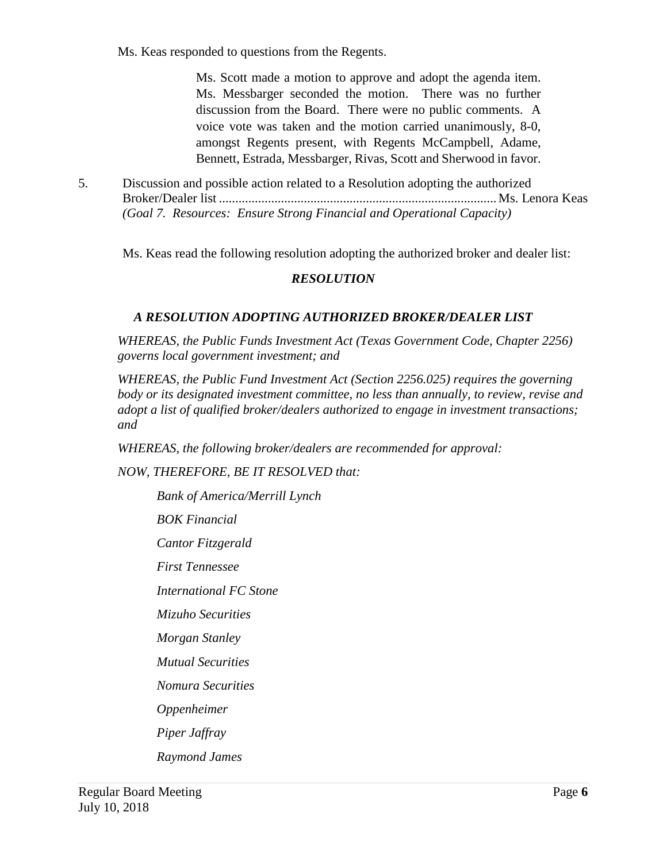Ms. Keas responded to questions from the Regents.

 Ms. Scott made a motion to approve and adopt the agenda item. Ms. Messbarger seconded the motion. There was no further discussion from the Board. There were no public comments. A voice vote was taken and the motion carried unanimously, 8-0, amongst Regents present, with Regents McCampbell, Adame, Bennett, Estrada, Messbarger, Rivas, Scott and Sherwood in favor.

 *(Goal 7. Resources: Ensure Strong Financial and Operational Capacity)*  5. Discussion and possible action related to a Resolution adopting the authorized Broker/Dealer list ..................................................................................... Ms. Lenora Keas

Ms. Keas read the following resolution adopting the authorized broker and dealer list:

## *RESOLUTION*

## *A RESOLUTION ADOPTING AUTHORIZED BROKER/DEALER LIST*

*WHEREAS, the Public Funds Investment Act (Texas Government Code, Chapter 2256) governs local government investment; and* 

*WHEREAS, the Public Fund Investment Act (Section 2256.025) requires the governing body or its designated investment committee, no less than annually, to review, revise and adopt a list of qualified broker/dealers authorized to engage in investment transactions; and* 

WHEREAS, the following broker/dealers are recommended for approval:<br>NOW, THEREFORE, BE IT RESOLVED that:

*Bank of America/Merrill Lynch* 

*BOK Financial* 

*Cantor Fitzgerald* 

*First Tennessee* 

*First Tennessee International FC Stone* 

*Mizuho Securities* 

*Morgan Stanley* 

*Mutual Securities* 

*Nomura Securities* 

*Oppenheimer* 

*Piper Jaffray* 

*Raymond James*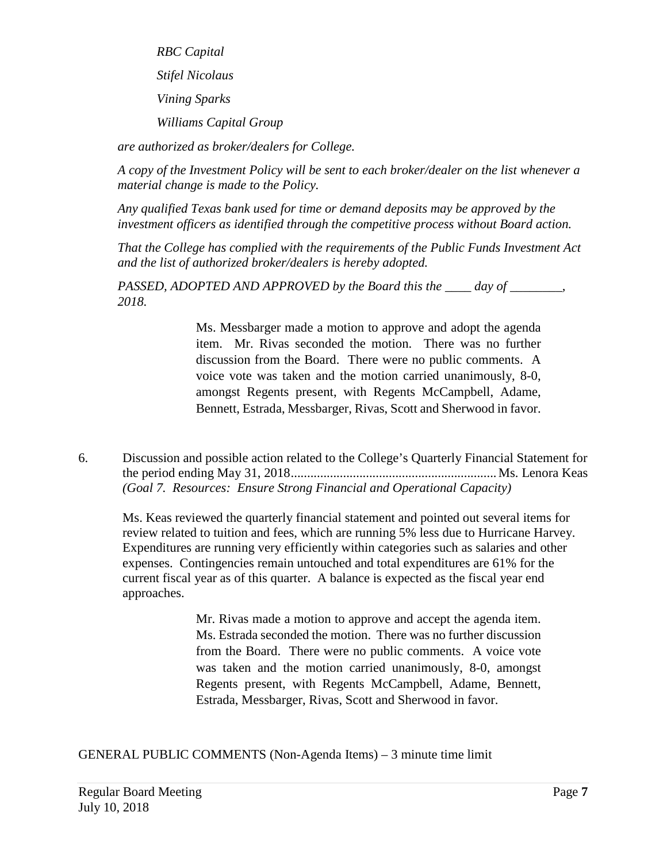*Vining Sparks RBC Capital Stifel Nicolaus Vining Sparks Williams Capital Group* 

*are authorized as broker/dealers for College.* 

*A copy of the Investment Policy will be sent to each broker/dealer on the list whenever a material change is made to the Policy.* 

*Any qualified Texas bank used for time or demand deposits may be approved by the investment officers as identified through the competitive process without Board action.* 

*That the College has complied with the requirements of the Public Funds Investment Act and the list of authorized broker/dealers is hereby adopted.* 

*PASSED, ADOPTED AND APPROVED by the Board this the \_\_\_\_ day of \_\_\_\_\_\_\_\_, 2018.* 

> Ms. Messbarger made a motion to approve and adopt the agenda item. Mr. Rivas seconded the motion. There was no further discussion from the Board. There were no public comments. A voice vote was taken and the motion carried unanimously, 8-0, amongst Regents present, with Regents McCampbell, Adame, Bennett, Estrada, Messbarger, Rivas, Scott and Sherwood in favor.

6. Discussion and possible action related to the College's Quarterly Financial Statement for the period ending May 31, 2018............................................................... Ms. Lenora Keas *(Goal 7. Resources: Ensure Strong Financial and Operational Capacity)* 

 current fiscal year as of this quarter. A balance is expected as the fiscal year end approaches. Ms. Keas reviewed the quarterly financial statement and pointed out several items for review related to tuition and fees, which are running 5% less due to Hurricane Harvey. Expenditures are running very efficiently within categories such as salaries and other expenses. Contingencies remain untouched and total expenditures are 61% for the

> Regents present, with Regents McCampbell, Adame, Bennett, Mr. Rivas made a motion to approve and accept the agenda item. Ms. Estrada seconded the motion. There was no further discussion from the Board. There were no public comments. A voice vote was taken and the motion carried unanimously, 8-0, amongst Estrada, Messbarger, Rivas, Scott and Sherwood in favor.

GENERAL PUBLIC COMMENTS (Non-Agenda Items) – 3 minute time limit